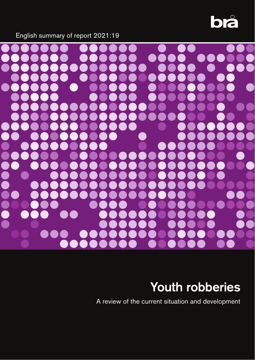

English summary of report 2021:19



# Youth robberies

A review of the current situation and development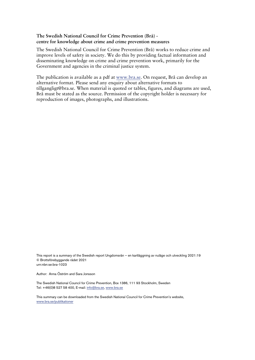# **The Swedish National Council for Crime Prevention (Brå) centre for knowledge about crime and crime prevention measures**

The Swedish National Council for Crime Prevention (Brå) works to reduce crime and improve levels of safety in society. We do this by providing factual information and disseminating knowledge on crime and crime prevention work, primarily for the Government and agencies in the criminal justice system.

The publication is available as a pdf at www.bra.se. On request, Brå can develop an alternative format. Please send any enquiry about alternative formats to tillgangligt@bra.se. When material is quoted or tables, figures, and diagrams are used, Brå must be stated as the source. Permission of the copyright holder is necessary for reproduction of images, photographs, and illustrations.

This report is a summary of the Swedish report Ungdomsrån – en kartläggning av nuläge och utveckling 2021:19 © Brottsförebyggande rådet 2021 urn:nbn:se:bra-1023

Author: Anna Öström and Sara Jonsson

The Swedish National Council for Crime Prevention, Box 1386, 111 93 Stockholm, Sweden Tel: +46(0)8 527 58 400, E-mail: info@bra.se, [www.bra.se](http://www.bra.se/) 

This summary can be downloaded from the Swedish National Council for Crime Prevention's website, [www.bra.se/publikationer](http://www.bra.se/publikationer)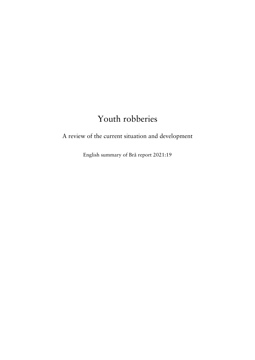# Youth robberies

A review of the current situation and development

English summary of Brå report 2021:19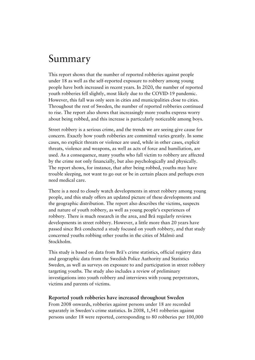# Summary

This report shows that the number of reported robberies against people under 18 as well as the self-reported exposure to robbery among young people have both increased in recent years. In 2020, the number of reported youth robberies fell slightly, most likely due to the COVID-19 pandemic. However, this fall was only seen in cities and municipalities close to cities. Throughout the rest of Sweden, the number of reported robberies continued to rise. The report also shows that increasingly more youths express worry about being robbed, and this increase is particularly noticeable among boys.

Street robbery is a serious crime, and the trends we are seeing give cause for concern. Exactly how youth robberies are committed varies greatly. In some cases, no explicit threats or violence are used, while in other cases, explicit threats, violence and weapons, as well as acts of force and humiliation, are used. As a consequence, many youths who fall victim to robbery are affected by the crime not only financially, but also psychologically and physically. The report shows, for instance, that after being robbed, youths may have trouble sleeping, not want to go out or be in certain places and perhaps even need medical care.

There is a need to closely watch developments in street robbery among young people, and this study offers an updated picture of these developments and the geographic distribution. The report also describes the victims, suspects and nature of youth robbery, as well as young people's experiences of robbery. There is much research in the area, and Brå regularly reviews developments in street robbery. However, a little more than 20 years have passed since Brå conducted a study focused on youth robbery, and that study concerned youths robbing other youths in the cities of Malmö and Stockholm.

This study is based on data from Brå's crime statistics, official registry data and geographic data from the Swedish Police Authority and Statistics Sweden, as well as surveys on exposure to and participation in street robbery targeting youths. The study also includes a review of preliminary investigations into youth robbery and interviews with young perpetrators, victims and parents of victims.

#### **Reported youth robberies have increased throughout Sweden**

From 2008 onwards, robberies against persons under 18 are recorded separately in Sweden's crime statistics. In 2008, 1,541 robberies against persons under 18 were reported, corresponding to 80 robberies per 100,000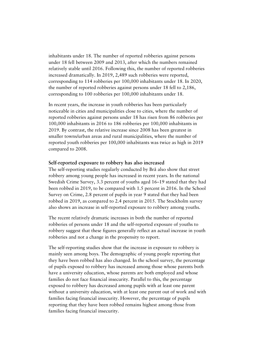inhabitants under 18. The number of reported robberies against persons under 18 fell between 2009 and 2013, after which the numbers remained relatively stable until 2016. Following this, the number of reported robberies increased dramatically. In 2019, 2,489 such robberies were reported, corresponding to 114 robberies per 100,000 inhabitants under 18. In 2020, the number of reported robberies against persons under 18 fell to 2,186, corresponding to 100 robberies per 100,000 inhabitants under 18.

In recent years, the increase in youth robberies has been particularly noticeable in cities and municipalities close to cities, where the number of reported robberies against persons under 18 has risen from 86 robberies per 100,000 inhabitants in 2016 to 186 robberies per 100,000 inhabitants in 2019. By contrast, the relative increase since 2008 has been greatest in smaller towns/urban areas and rural municipalities, where the number of reported youth robberies per 100,000 inhabitants was twice as high in 2019 compared to 2008.

#### **Self-reported exposure to robbery has also increased**

The self-reporting studies regularly conducted by Brå also show that street robbery among young people has increased in recent years. In the national Swedish Crime Survey, 3.3 percent of youths aged 16–19 stated that they had been robbed in 2019, to be compared with 1.5 percent in 2016. In the School Survey on Crime, 2.8 percent of pupils in year 9 stated that they had been robbed in 2019, as compared to 2.4 percent in 2015. The Stockholm survey also shows an increase in self-reported exposure to robbery among youths.

The recent relatively dramatic increases in both the number of reported robberies of persons under 18 and the self-reported exposure of youths to robbery suggest that these figures generally reflect an actual increase in youth robberies and not a change in the propensity to report.

The self-reporting studies show that the increase in exposure to robbery is mainly seen among boys. The demographic of young people reporting that they have been robbed has also changed. In the school survey, the percentage of pupils exposed to robbery has increased among those whose parents both have a university education, whose parents are both employed and whose families do not face financial insecurity. Parallel to this, the percentage exposed to robbery has decreased among pupils with at least one parent without a university education, with at least one parent out of work and with families facing financial insecurity. However, the percentage of pupils reporting that they have been robbed remains highest among those from families facing financial insecurity.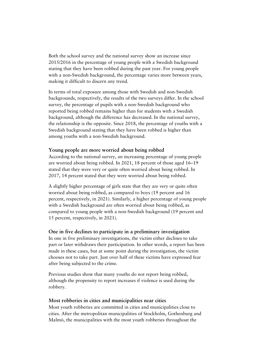Both the school survey and the national survey show an increase since 2015/2016 in the percentage of young people with a Swedish background stating that they have been robbed during the past year. For young people with a non-Swedish background, the percentage varies more between years, making it difficult to discern any trend.

In terms of total exposure among those with Swedish and non-Swedish backgrounds, respectively, the results of the two surveys differ. In the school survey, the percentage of pupils with a non-Swedish background who reported being robbed remains higher than for students with a Swedish background, although the difference has decreased. In the national survey, the relationship is the opposite. Since 2018, the percentage of youths with a Swedish background stating that they have been robbed is higher than among youths with a non-Swedish background.

# **Young people are more worried about being robbed**

According to the national survey, an increasing percentage of young people are worried about being robbed. In 2021, 18 percent of those aged 16–19 stated that they were very or quite often worried about being robbed. In 2017, 14 percent stated that they were worried about being robbed.

A slightly higher percentage of girls state that they are very or quite often worried about being robbed, as compared to boys (19 percent and 16 percent, respectively, in 2021). Similarly, a higher percentage of young people with a Swedish background are often worried about being robbed, as compared to young people with a non-Swedish background (19 percent and 15 percent, respectively, in 2021).

# **One in five declines to participate in a preliminary investigation**

In one in five preliminary investigations, the victim either declines to take part or later withdraws their participation. In other words, a report has been made in these cases, but at some point during the investigation, the victim chooses not to take part. Just over half of these victims have expressed fear after being subjected to the crime.

Previous studies show that many youths do not report being robbed, although the propensity to report increases if violence is used during the robbery.

#### **Most robberies in cities and municipalities near cities**

Most youth robberies are committed in cities and municipalities close to cities. After the metropolitan municipalities of Stockholm, Gothenburg and Malmö, the municipalities with the most youth robberies throughout the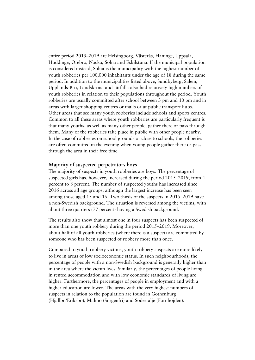entire period 2015–2019 are Helsingborg, Västerås, Haninge, Uppsala, Huddinge, Örebro, Nacka, Solna and Eskilstuna. If the municipal population is considered instead, Solna is the municipality with the highest number of youth robberies per 100,000 inhabitants under the age of 18 during the same period. In addition to the municipalities listed above, Sundbyberg, Salem, Upplands-Bro, Landskrona and Järfälla also had relatively high numbers of youth robberies in relation to their populations throughout the period. Youth robberies are usually committed after school between 3 pm and 10 pm and in areas with larger shopping centres or malls or at public transport hubs. Other areas that see many youth robberies include schools and sports centres. Common to all these areas where youth robberies are particularly frequent is that many youths, as well as many other people, gather there or pass through them. Many of the robberies take place in public with other people nearby. In the case of robberies on school grounds or close to schools, the robberies are often committed in the evening when young people gather there or pass through the area in their free time.

#### **Majority of suspected perpetrators boys**

The majority of suspects in youth robberies are boys. The percentage of suspected girls has, however, increased during the period 2015–2019, from 4 percent to 8 percent. The number of suspected youths has increased since 2016 across all age groups, although the largest increase has been seen among those aged 15 and 16. Two thirds of the suspects in 2015–2019 have a non-Swedish background. The situation is reversed among the victims, with about three quarters (77 percent) having a Swedish background.

The results also show that almost one in four suspects has been suspected of more than one youth robbery during the period 2015–2019. Moreover, about half of all youth robberies (where there is a suspect) are committed by someone who has been suspected of robbery more than once.

Compared to youth robbery victims, youth robbery suspects are more likely to live in areas of low socioeconomic status. In such neighbourhoods, the percentage of people with a non-Swedish background is generally higher than in the area where the victim lives. Similarly, the percentages of people living in rented accommodation and with low economic standards of living are higher. Furthermore, the percentages of people in employment and with a higher education are lower. The areas with the very highest numbers of suspects in relation to the population are found in Gothenburg (Hjällbo/Eriksbo), Malmö (Sorgenfri) and Södertälje (Fornhöjden).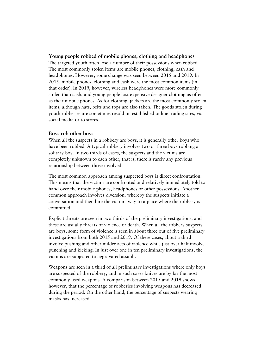# **Young people robbed of mobile phones, clothing and headphones**

The targeted youth often lose a number of their possessions when robbed. The most commonly stolen items are mobile phones, clothing, cash and headphones. However, some change was seen between 2015 and 2019. In 2015, mobile phones, clothing and cash were the most common items (in that order). In 2019, however, wireless headphones were more commonly stolen than cash, and young people lost expensive designer clothing as often as their mobile phones. As for clothing, jackets are the most commonly stolen items, although hats, belts and tops are also taken. The goods stolen during youth robberies are sometimes resold on established online trading sites, via social media or to stores.

# **Boys rob other boys**

When all the suspects in a robbery are boys, it is generally other boys who have been robbed. A typical robbery involves two or three boys robbing a solitary boy. In two thirds of cases, the suspects and the victims are completely unknown to each other, that is, there is rarely any previous relationship between those involved.

The most common approach among suspected boys is direct confrontation. This means that the victims are confronted and relatively immediately told to hand over their mobile phones, headphones or other possessions. Another common approach involves diversion, whereby the suspects initiate a conversation and then lure the victim away to a place where the robbery is committed.

Explicit threats are seen in two thirds of the preliminary investigations, and these are usually threats of violence or death. When all the robbery suspects are boys, some form of violence is seen in about three out of five preliminary investigations from both 2015 and 2019. Of these cases, about a third involve pushing and other milder acts of violence while just over half involve punching and kicking. In just over one in ten preliminary investigations, the victims are subjected to aggravated assault.

Weapons are seen in a third of all preliminary investigations where only boys are suspected of the robbery, and in such cases knives are by far the most commonly used weapons. A comparison between 2015 and 2019 shows, however, that the percentage of robberies involving weapons has decreased during the period. On the other hand, the percentage of suspects wearing masks has increased.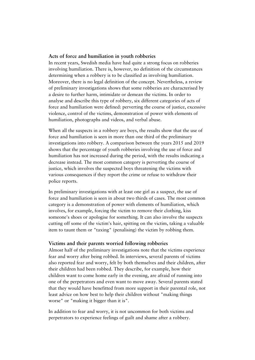### **Acts of force and humiliation in youth robberies**

In recent years, Swedish media have had quite a strong focus on robberies involving humiliation. There is, however, no definition of the circumstances determining when a robbery is to be classified as involving humiliation. Moreover, there is no legal definition of the concept. Nevertheless, a review of preliminary investigations shows that some robberies are characterised by a desire to further harm, intimidate or demean the victims. In order to analyse and describe this type of robbery, six different categories of acts of force and humiliation were defined: perverting the course of justice, excessive violence, control of the victims, demonstration of power with elements of humiliation, photographs and videos, and verbal abuse.

When all the suspects in a robbery are boys, the results show that the use of force and humiliation is seen in more than one third of the preliminary investigations into robbery. A comparison between the years 2015 and 2019 shows that the percentage of youth robberies involving the use of force and humiliation has not increased during the period, with the results indicating a decrease instead. The most common category is perverting the course of justice, which involves the suspected boys threatening the victims with various consequences if they report the crime or refuse to withdraw their police reports.

In preliminary investigations with at least one girl as a suspect, the use of force and humiliation is seen in about two thirds of cases. The most common category is a demonstration of power with elements of humiliation, which involves, for example, forcing the victim to remove their clothing, kiss someone's shoes or apologise for something. It can also involve the suspects cutting off some of the victim's hair, spitting on the victim, taking a valuable item to taunt them or "taxing" (penalising) the victim by robbing them.

#### **Victims and their parents worried following robberies**

Almost half of the preliminary investigations note that the victims experience fear and worry after being robbed. In interviews, several parents of victims also reported fear and worry, felt by both themselves and their children, after their children had been robbed. They describe, for example, how their children want to come home early in the evening, are afraid of running into one of the perpetrators and even want to move away. Several parents stated that they would have benefitted from more support in their parental role, not least advice on how best to help their children without "making things worse" or "making it bigger than it is".

In addition to fear and worry, it is not uncommon for both victims and perpetrators to experience feelings of guilt and shame after a robbery.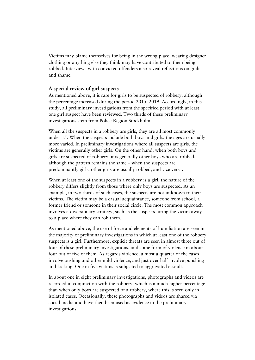Victims may blame themselves for being in the wrong place, wearing designer clothing or anything else they think may have contributed to them being robbed. Interviews with convicted offenders also reveal reflections on guilt and shame.

# **A special review of girl suspects**

As mentioned above, it is rare for girls to be suspected of robbery, although the percentage increased during the period 2015–2019. Accordingly, in this study, all preliminary investigations from the specified period with at least one girl suspect have been reviewed. Two thirds of these preliminary investigations stem from Police Region Stockholm.

When all the suspects in a robbery are girls, they are all most commonly under 15. When the suspects include both boys and girls, the ages are usually more varied. In preliminary investigations where all suspects are girls, the victims are generally other girls. On the other hand, when both boys and girls are suspected of robbery, it is generally other boys who are robbed, although the pattern remains the same – when the suspects are predominantly girls, other girls are usually robbed, and vice versa.

When at least one of the suspects in a robbery is a girl, the nature of the robbery differs slightly from those where only boys are suspected. As an example, in two thirds of such cases, the suspects are not unknown to their victims. The victim may be a casual acquaintance, someone from school, a former friend or someone in their social circle. The most common approach involves a diversionary strategy, such as the suspects luring the victim away to a place where they can rob them.

As mentioned above, the use of force and elements of humiliation are seen in the majority of preliminary investigations in which at least one of the robbery suspects is a girl. Furthermore, explicit threats are seen in almost three out of four of these preliminary investigations, and some form of violence in about four out of five of them. As regards violence, almost a quarter of the cases involve pushing and other mild violence, and just over half involve punching and kicking. One in five victims is subjected to aggravated assault.

In about one in eight preliminary investigations, photographs and videos are recorded in conjunction with the robbery, which is a much higher percentage than when only boys are suspected of a robbery, where this is seen only in isolated cases. Occasionally, these photographs and videos are shared via social media and have then been used as evidence in the preliminary investigations.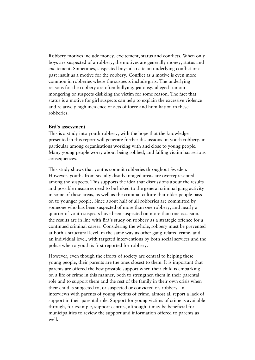Robbery motives include money, excitement, status and conflicts. When only boys are suspected of a robbery, the motives are generally money, status and excitement. Sometimes, suspected boys also cite an underlying conflict or a past insult as a motive for the robbery. Conflict as a motive is even more common in robberies where the suspects include girls. The underlying reasons for the robbery are often bullying, jealousy, alleged rumour mongering or suspects disliking the victim for some reason. The fact that status is a motive for girl suspects can help to explain the excessive violence and relatively high incidence of acts of force and humiliation in these robberies.

### **Brå's assessment**

This is a study into youth robbery, with the hope that the knowledge presented in this report will generate further discussions on youth robbery, in particular among organisations working with and close to young people. Many young people worry about being robbed, and falling victim has serious consequences.

This study shows that youths commit robberies throughout Sweden. However, youths from socially disadvantaged areas are overrepresented among the suspects. This supports the idea that discussions about the results and possible measures need to be linked to the general criminal gang activity in some of these areas, as well as the criminal culture that older people pass on to younger people. Since about half of all robberies are committed by someone who has been suspected of more than one robbery, and nearly a quarter of youth suspects have been suspected on more than one occasion, the results are in line with Brå's study on robbery as a strategic offence for a continued criminal career. Considering the whole, robbery must be prevented at both a structural level, in the same way as other gang-related crime, and an individual level, with targeted interventions by both social services and the police when a youth is first reported for robbery.

However, even though the efforts of society are central to helping these young people, their parents are the ones closest to them. It is important that parents are offered the best possible support when their child is embarking on a life of crime in this manner, both to strengthen them in their parental role and to support them and the rest of the family in their own crisis when their child is subjected to, or suspected or convicted of, robbery. In interviews with parents of young victims of crime, almost all report a lack of support in their parental role. Support for young victims of crime is available through, for example, support centres, although it may be beneficial for municipalities to review the support and information offered to parents as well.